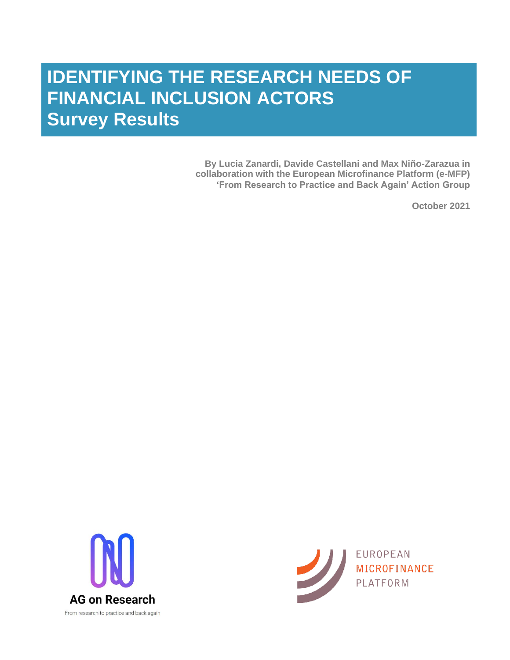# **IDENTIFYING THE RESEARCH NEEDS OF FINANCIAL INCLUSION ACTORS Survey Results**

**By Lucia Zanardi, Davide Castellani and Max Niño-Zarazua in collaboration with the European Microfinance Platform (e-MFP) 'From Research to Practice and Back Again' Action Group**

**October 2021**



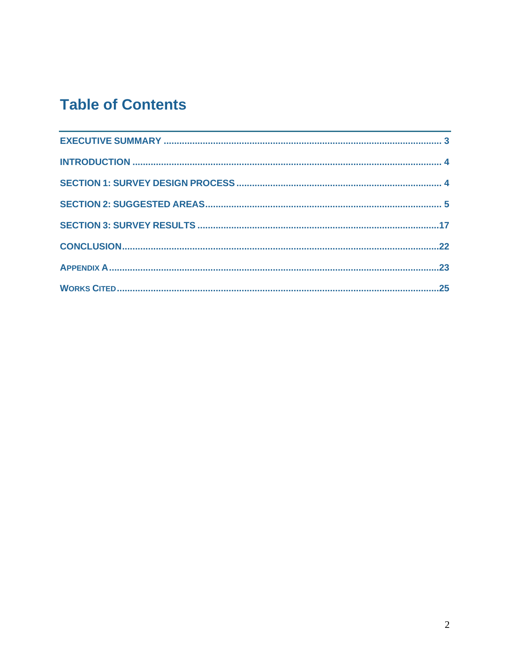# **Table of Contents**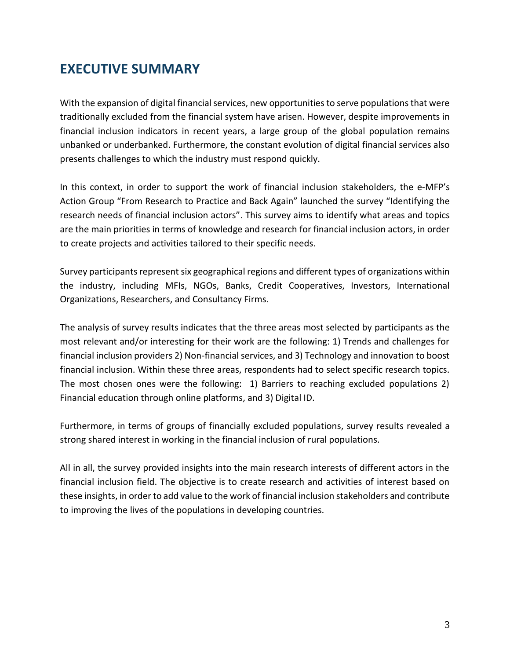# <span id="page-2-0"></span>**EXECUTIVE SUMMARY**

With the expansion of digital financial services, new opportunities to serve populations that were traditionally excluded from the financial system have arisen. However, despite improvements in financial inclusion indicators in recent years, a large group of the global population remains unbanked or underbanked. Furthermore, the constant evolution of digital financial services also presents challenges to which the industry must respond quickly.

In this context, in order to support the work of financial inclusion stakeholders, the e-MFP's Action Group "From Research to Practice and Back Again" launched the survey "Identifying the research needs of financial inclusion actors". This survey aims to identify what areas and topics are the main priorities in terms of knowledge and research for financial inclusion actors, in order to create projects and activities tailored to their specific needs.

Survey participants represent six geographical regions and different types of organizations within the industry, including MFIs, NGOs, Banks, Credit Cooperatives, Investors, International Organizations, Researchers, and Consultancy Firms.

The analysis of survey results indicates that the three areas most selected by participants as the most relevant and/or interesting for their work are the following: 1) Trends and challenges for financial inclusion providers 2) Non-financial services, and 3) Technology and innovation to boost financial inclusion. Within these three areas, respondents had to select specific research topics. The most chosen ones were the following: 1) Barriers to reaching excluded populations 2) Financial education through online platforms, and 3) Digital ID.

Furthermore, in terms of groups of financially excluded populations, survey results revealed a strong shared interest in working in the financial inclusion of rural populations.

All in all, the survey provided insights into the main research interests of different actors in the financial inclusion field. The objective is to create research and activities of interest based on these insights, in order to add value to the work of financial inclusion stakeholders and contribute to improving the lives of the populations in developing countries.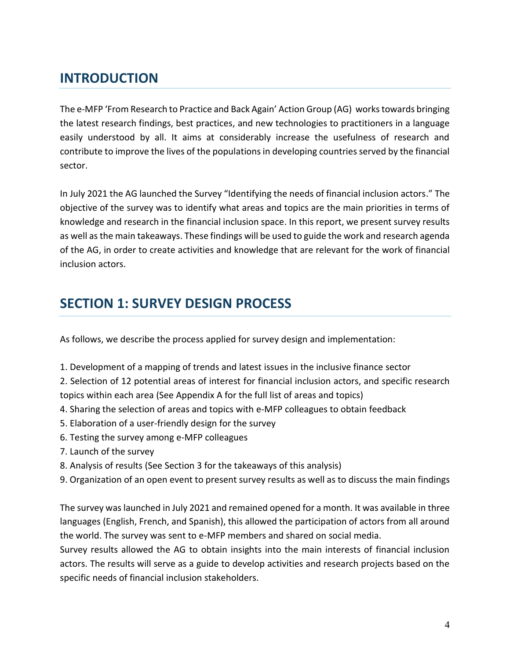# <span id="page-3-0"></span>**INTRODUCTION**

The e-MFP 'From Research to Practice and Back Again' Action Group (AG) works towards bringing the latest research findings, best practices, and new technologies to practitioners in a language easily understood by all. It aims at considerably increase the usefulness of research and contribute to improve the lives of the populations in developing countries served by the financial sector.

In July 2021 the AG launched the Survey "Identifying the needs of financial inclusion actors." The objective of the survey was to identify what areas and topics are the main priorities in terms of knowledge and research in the financial inclusion space. In this report, we present survey results as well as the main takeaways. These findings will be used to guide the work and research agenda of the AG, in order to create activities and knowledge that are relevant for the work of financial inclusion actors.

## <span id="page-3-1"></span>**SECTION 1: SURVEY DESIGN PROCESS**

As follows, we describe the process applied for survey design and implementation:

- 1. Development of a mapping of trends and latest issues in the inclusive finance sector
- 2. Selection of 12 potential areas of interest for financial inclusion actors, and specific research topics within each area (See Appendix A for the full list of areas and topics)
- 4. Sharing the selection of areas and topics with e-MFP colleagues to obtain feedback
- 5. Elaboration of a user-friendly design for the survey
- 6. Testing the survey among e-MFP colleagues
- 7. Launch of the survey
- 8. Analysis of results (See Section 3 for the takeaways of this analysis)
- 9. Organization of an open event to present survey results as well as to discuss the main findings

The survey was launched in July 2021 and remained opened for a month. It was available in three languages (English, French, and Spanish), this allowed the participation of actors from all around the world. The survey was sent to e-MFP members and shared on social media.

Survey results allowed the AG to obtain insights into the main interests of financial inclusion actors. The results will serve as a guide to develop activities and research projects based on the specific needs of financial inclusion stakeholders.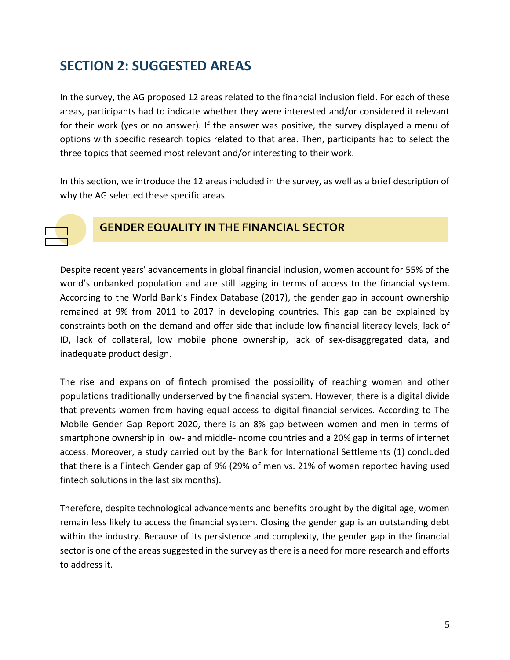# <span id="page-4-0"></span>**SECTION 2: SUGGESTED AREAS**

In the survey, the AG proposed 12 areas related to the financial inclusion field. For each of these areas, participants had to indicate whether they were interested and/or considered it relevant for their work (yes or no answer). If the answer was positive, the survey displayed a menu of options with specific research topics related to that area. Then, participants had to select the three topics that seemed most relevant and/or interesting to their work.

In this section, we introduce the 12 areas included in the survey, as well as a brief description of why the AG selected these specific areas.



### **GENDER EQUALITY IN THE FINANCIAL SECTOR**

Despite recent years' advancements in global financial inclusion, women account for 55% of the world's unbanked population and are still lagging in terms of access to the financial system. According to the World Bank's Findex Database (2017), the gender gap in account ownership remained at 9% from 2011 to 2017 in developing countries. This gap can be explained by constraints both on the demand and offer side that include low financial literacy levels, lack of ID, lack of collateral, low mobile phone ownership, lack of sex-disaggregated data, and inadequate product design.

The rise and expansion of fintech promised the possibility of reaching women and other populations traditionally underserved by the financial system. However, there is a digital divide that prevents women from having equal access to digital financial services. According to The Mobile Gender Gap Report 2020, there is an 8% gap between women and men in terms of smartphone ownership in low- and middle-income countries and a 20% gap in terms of internet access. Moreover, a study carried out by the Bank for International Settlements (1) concluded that there is a Fintech Gender gap of 9% (29% of men vs. 21% of women reported having used fintech solutions in the last six months).

Therefore, despite technological advancements and benefits brought by the digital age, women remain less likely to access the financial system. Closing the gender gap is an outstanding debt within the industry. Because of its persistence and complexity, the gender gap in the financial sector is one of the areas suggested in the survey as there is a need for more research and efforts to address it.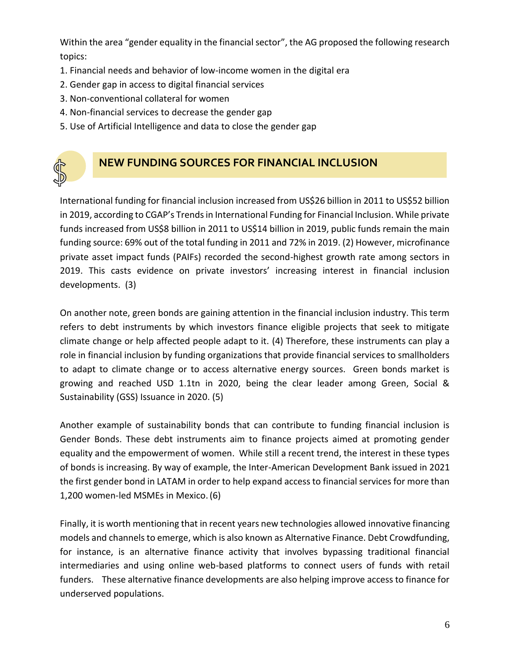Within the area "gender equality in the financial sector", the AG proposed the following research topics:

- 1. Financial needs and behavior of low-income women in the digital era
- 2. Gender gap in access to digital financial services
- 3. Non-conventional collateral for women
- 4. Non-financial services to decrease the gender gap
- 5. Use of Artificial Intelligence and data to close the gender gap



### **NEW FUNDING SOURCES FOR FINANCIAL INCLUSION**

International funding for financial inclusion increased from US\$26 billion in 2011 to US\$52 billion in 2019, according to CGAP's Trends in International Funding for Financial Inclusion. While private funds increased from US\$8 billion in 2011 to US\$14 billion in 2019, public funds remain the main funding source: 69% out of the total funding in 2011 and 72% in 2019. (2) However, microfinance private asset impact funds (PAIFs) recorded the second-highest growth rate among sectors in 2019. This casts evidence on private investors' increasing interest in financial inclusion developments. (3)

On another note, green bonds are gaining attention in the financial inclusion industry. This term refers to debt instruments by which investors finance eligible projects that seek to mitigate climate change or help affected people adapt to it. (4) Therefore, these instruments can play a role in financial inclusion by funding organizations that provide financial services to smallholders to adapt to climate change or to access alternative energy sources. Green bonds market is growing and reached USD 1.1tn in 2020, being the clear leader among Green, Social & Sustainability (GSS) Issuance in 2020. (5)

Another example of sustainability bonds that can contribute to funding financial inclusion is Gender Bonds. These debt instruments aim to finance projects aimed at promoting gender equality and the empowerment of women. While still a recent trend, the interest in these types of bonds is increasing. By way of example, the Inter-American Development Bank issued in 2021 the first gender bond in LATAM in order to help expand access to financial services for more than 1,200 women-led MSMEs in Mexico.(6)

Finally, it is worth mentioning that in recent years new technologies allowed innovative financing models and channels to emerge, which is also known as Alternative Finance. Debt Crowdfunding, for instance, is an alternative finance activity that involves bypassing traditional financial intermediaries and using online web-based platforms to connect users of funds with retail funders. These alternative finance developments are also helping improve access to finance for underserved populations.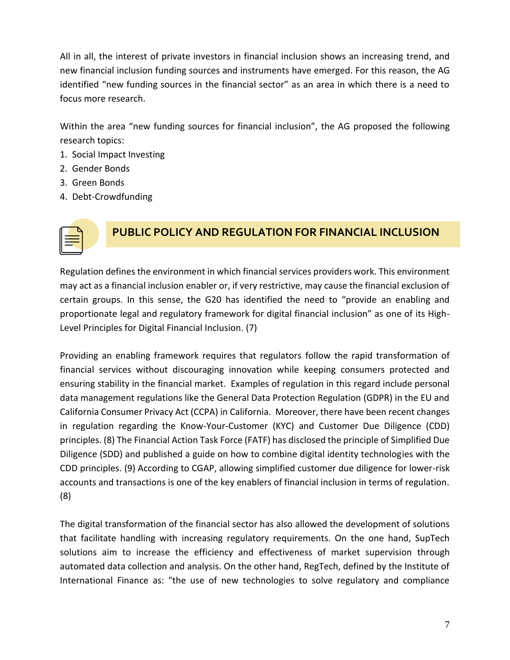All in all, the interest of private investors in financial inclusion shows an increasing trend, and new financial inclusion funding sources and instruments have emerged. For this reason, the AG identified "new funding sources in the financial sector" as an area in which there is a need to focus more research.

Within the area "new funding sources for financial inclusion", the AG proposed the following research topics:

- 1. Social Impact Investing
- 2. Gender Bonds
- 3. Green Bonds
- 4. Debt-Crowdfunding



### **PUBLIC POLICY AND REGULATION FOR FINANCIAL INCLUSION**

Regulation defines the environment in which financial services providers work. This environment may act as a financial inclusion enabler or, if very restrictive, may cause the financial exclusion of certain groups. In this sense, the G20 has identified the need to "provide an enabling and proportionate legal and regulatory framework for digital financial inclusion" as one of its High-Level Principles for Digital Financial Inclusion. (7)

Providing an enabling framework requires that regulators follow the rapid transformation of financial services without discouraging innovation while keeping consumers protected and ensuring stability in the financial market. Examples of regulation in this regard include personal data management regulations like the General Data Protection Regulation (GDPR) in the EU and California Consumer Privacy Act (CCPA) in California. Moreover, there have been recent changes in regulation regarding the Know-Your-Customer (KYC) and Customer Due Diligence (CDD) principles. (8) The Financial Action Task Force (FATF) has disclosed the principle of Simplified Due Diligence (SDD) and published a guide on how to combine digital identity technologies with the CDD principles. (9) According to CGAP, allowing simplified customer due diligence for lower-risk accounts and transactions is one of the key enablers of financial inclusion in terms of regulation. (8)

The digital transformation of the financial sector has also allowed the development of solutions that facilitate handling with increasing regulatory requirements. On the one hand, SupTech solutions aim to increase the efficiency and effectiveness of market supervision through automated data collection and analysis. On the other hand, RegTech, defined by the Institute of International Finance as: "the use of new technologies to solve regulatory and compliance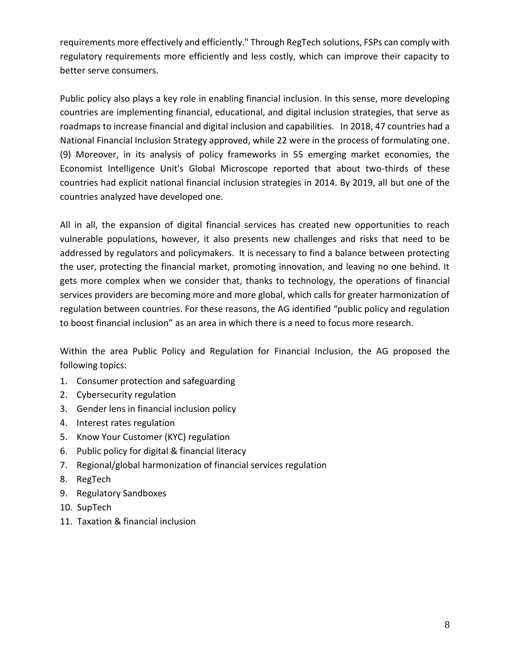requirements more effectively and efficiently." Through RegTech solutions, FSPs can comply with regulatory requirements more efficiently and less costly, which can improve their capacity to better serve consumers.

Public policy also plays a key role in enabling financial inclusion. In this sense, more developing countries are implementing financial, educational, and digital inclusion strategies, that serve as roadmaps to increase financial and digital inclusion and capabilities. In 2018, 47 countries had a National Financial Inclusion Strategy approved, while 22 were in the process of formulating one. (9) Moreover, in its analysis of policy frameworks in 55 emerging market economies, the Economist Intelligence Unit's Global Microscope reported that about two-thirds of these countries had explicit national financial inclusion strategies in 2014. By 2019, all but one of the countries analyzed have developed one.

All in all, the expansion of digital financial services has created new opportunities to reach vulnerable populations, however, it also presents new challenges and risks that need to be addressed by regulators and policymakers. It is necessary to find a balance between protecting the user, protecting the financial market, promoting innovation, and leaving no one behind. It gets more complex when we consider that, thanks to technology, the operations of financial services providers are becoming more and more global, which calls for greater harmonization of regulation between countries. For these reasons, the AG identified "public policy and regulation to boost financial inclusion" as an area in which there is a need to focus more research.

Within the area Public Policy and Regulation for Financial Inclusion, the AG proposed the following topics:

- 1. Consumer protection and safeguarding
- 2. Cybersecurity regulation
- 3. Gender lens in financial inclusion policy
- 4. Interest rates regulation
- 5. Know Your Customer (KYC) regulation
- 6. Public policy for digital & financial literacy
- 7. Regional/global harmonization of financial services regulation
- 8. RegTech
- 9. Regulatory Sandboxes
- 10. SupTech
- 11. Taxation & financial inclusion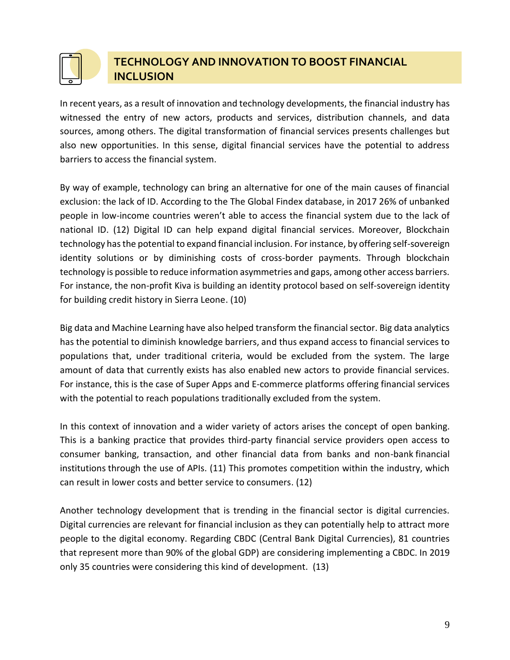

### **TECHNOLOGY AND INNOVATION TO BOOST FINANCIAL INCLUSION**

In recent years, as a result of innovation and technology developments, the financial industry has witnessed the entry of new actors, products and services, distribution channels, and data sources, among others. The digital transformation of financial services presents challenges but also new opportunities. In this sense, digital financial services have the potential to address barriers to access the financial system.

By way of example, technology can bring an alternative for one of the main causes of financial exclusion: the lack of ID. According to the The Global Findex database, in 2017 26% of unbanked people in low-income countries weren't able to access the financial system due to the lack of national ID. (12) Digital ID can help expand digital financial services. Moreover, Blockchain technology has the potential to expand financial inclusion. For instance, by offering self-sovereign identity solutions or by diminishing costs of cross-border payments. Through blockchain technology is possible to reduce information asymmetries and gaps, among other access barriers. For instance, the non-profit Kiva is building an identity protocol based on self-sovereign identity for building credit history in Sierra Leone. (10)

Big data and Machine Learning have also helped transform the financial sector. Big data analytics has the potential to diminish knowledge barriers, and thus expand access to financial services to populations that, under traditional criteria, would be excluded from the system. The large amount of data that currently exists has also enabled new actors to provide financial services. For instance, this is the case of Super Apps and E-commerce platforms offering financial services with the potential to reach populations traditionally excluded from the system.

In this context of innovation and a wider variety of actors arises the concept of open banking. This is a banking practice that provides third-party financial service providers open access to consumer banking, transaction, and other financial data from banks and non-bank financial institutions through the use of APIs. (11) This promotes competition within the industry, which can result in lower costs and better service to consumers. (12)

Another technology development that is trending in the financial sector is digital currencies. Digital currencies are relevant for financial inclusion as they can potentially help to attract more people to the digital economy. Regarding CBDC (Central Bank Digital Currencies), 81 countries that represent more than 90% of the global GDP) are considering implementing a CBDC. In 2019 only 35 countries were considering this kind of development. (13)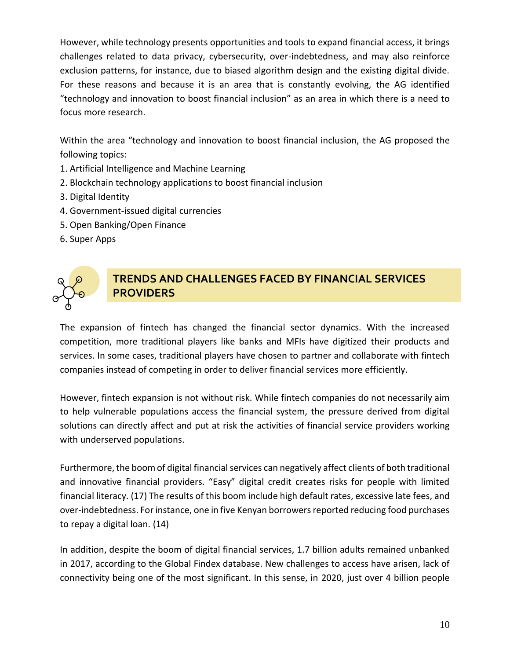However, while technology presents opportunities and tools to expand financial access, it brings challenges related to data privacy, cybersecurity, over-indebtedness, and may also reinforce exclusion patterns, for instance, due to biased algorithm design and the existing digital divide. For these reasons and because it is an area that is constantly evolving, the AG identified "technology and innovation to boost financial inclusion" as an area in which there is a need to focus more research.

Within the area "technology and innovation to boost financial inclusion, the AG proposed the following topics:

- 1. Artificial Intelligence and Machine Learning
- 2. Blockchain technology applications to boost financial inclusion
- 3. Digital Identity
- 4. Government-issued digital currencies
- 5. Open Banking/Open Finance
- 6. Super Apps



### **TRENDS AND CHALLENGES FACED BY FINANCIAL SERVICES PROVIDERS**

The expansion of fintech has changed the financial sector dynamics. With the increased competition, more traditional players like banks and MFIs have digitized their products and services. In some cases, traditional players have chosen to partner and collaborate with fintech companies instead of competing in order to deliver financial services more efficiently.

However, fintech expansion is not without risk. While fintech companies do not necessarily aim to help vulnerable populations access the financial system, the pressure derived from digital solutions can directly affect and put at risk the activities of financial service providers working with underserved populations.

Furthermore, the boom of digital financial services can negatively affect clients of both traditional and innovative financial providers. "Easy" digital credit creates risks for people with limited financial literacy. (17) The results of this boom include high default rates, excessive late fees, and over-indebtedness. For instance, one in five Kenyan borrowers reported reducing food purchases to repay a digital loan. (14)

In addition, despite the boom of digital financial services, 1.7 billion adults remained unbanked in 2017, according to the Global Findex database. New challenges to access have arisen, lack of connectivity being one of the most significant. In this sense, in 2020, just over 4 billion people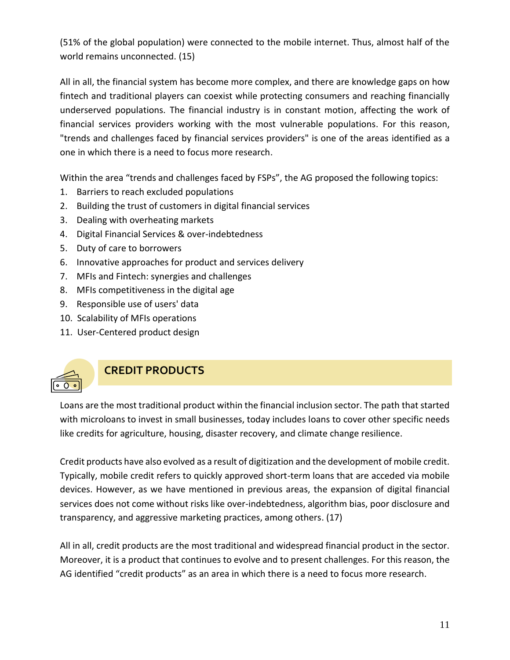(51% of the global population) were connected to the mobile internet. Thus, almost half of the world remains unconnected. (15)

All in all, the financial system has become more complex, and there are knowledge gaps on how fintech and traditional players can coexist while protecting consumers and reaching financially underserved populations. The financial industry is in constant motion, affecting the work of financial services providers working with the most vulnerable populations. For this reason, "trends and challenges faced by financial services providers" is one of the areas identified as a one in which there is a need to focus more research.

Within the area "trends and challenges faced by FSPs", the AG proposed the following topics:

- 1. Barriers to reach excluded populations
- 2. Building the trust of customers in digital financial services
- 3. Dealing with overheating markets
- 4. Digital Financial Services & over-indebtedness
- 5. Duty of care to borrowers
- 6. Innovative approaches for product and services delivery
- 7. MFIs and Fintech: synergies and challenges
- 8. MFIs competitiveness in the digital age
- 9. Responsible use of users' data
- 10. Scalability of MFIs operations
- 11. User-Centered product design



### **CREDIT PRODUCTS**

Loans are the most traditional product within the financial inclusion sector. The path that started with microloans to invest in small businesses, today includes loans to cover other specific needs like credits for agriculture, housing, disaster recovery, and climate change resilience.

Credit products have also evolved as a result of digitization and the development of mobile credit. Typically, mobile credit refers to quickly approved short-term loans that are acceded via mobile devices. However, as we have mentioned in previous areas, the expansion of digital financial services does not come without risks like over-indebtedness, algorithm bias, poor disclosure and transparency, and aggressive marketing practices, among others. (17)

All in all, credit products are the most traditional and widespread financial product in the sector. Moreover, it is a product that continues to evolve and to present challenges. For this reason, the AG identified "credit products" as an area in which there is a need to focus more research.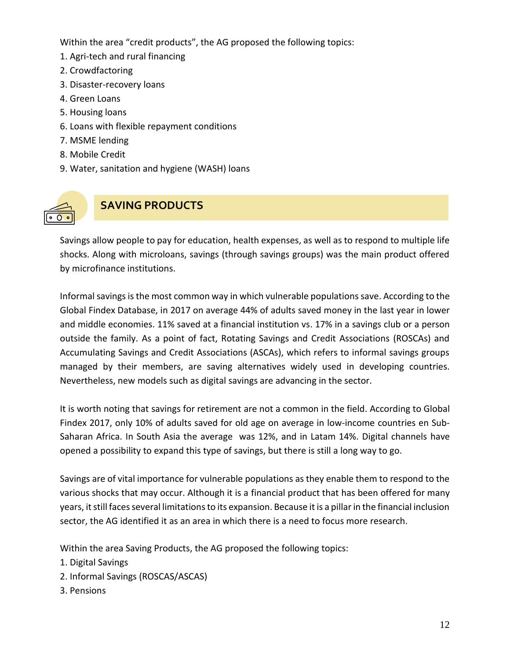Within the area "credit products", the AG proposed the following topics:

- 1. Agri-tech and rural financing
- 2. Crowdfactoring
- 3. Disaster-recovery loans
- 4. Green Loans
- 5. Housing loans
- 6. Loans with flexible repayment conditions
- 7. MSME lending
- 8. Mobile Credit
- 9. Water, sanitation and hygiene (WASH) loans



### **SAVING PRODUCTS**

Savings allow people to pay for education, health expenses, as well as to respond to multiple life shocks. Along with microloans, savings (through savings groups) was the main product offered by microfinance institutions.

Informal savings is the most common way in which vulnerable populationssave. According to the Global Findex Database, in 2017 on average 44% of adults saved money in the last year in lower and middle economies. 11% saved at a financial institution vs. 17% in a savings club or a person outside the family. As a point of fact, Rotating Savings and Credit Associations (ROSCAs) and Accumulating Savings and Credit Associations (ASCAs), which refers to informal savings groups managed by their members, are saving alternatives widely used in developing countries. Nevertheless, new models such as digital savings are advancing in the sector.

It is worth noting that savings for retirement are not a common in the field. According to Global Findex 2017, only 10% of adults saved for old age on average in low-income countries en Sub-Saharan Africa. In South Asia the average was 12%, and in Latam 14%. Digital channels have opened a possibility to expand this type of savings, but there is still a long way to go.

Savings are of vital importance for vulnerable populations as they enable them to respond to the various shocks that may occur. Although it is a financial product that has been offered for many years, it still faces several limitations to its expansion. Because it is a pillar in the financial inclusion sector, the AG identified it as an area in which there is a need to focus more research.

Within the area Saving Products, the AG proposed the following topics:

- 1. Digital Savings
- 2. Informal Savings (ROSCAS/ASCAS)
- 3. Pensions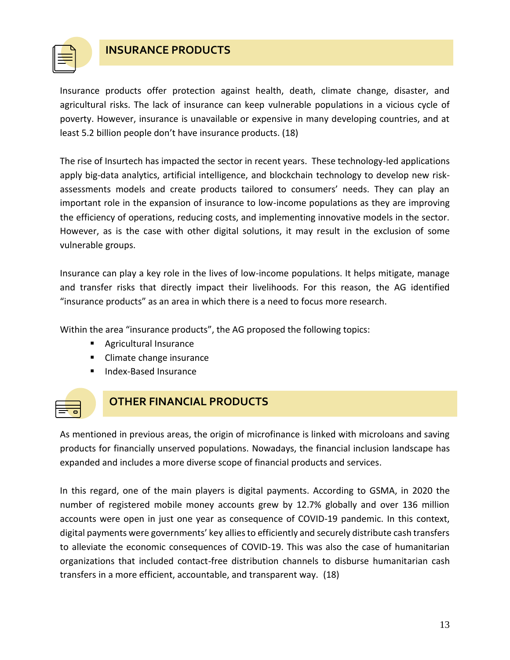

#### **INSURANCE PRODUCTS**

Insurance products offer protection against health, death, climate change, disaster, and agricultural risks. The lack of insurance can keep vulnerable populations in a vicious cycle of poverty. However, insurance is unavailable or expensive in many developing countries, and at least 5.2 billion people don't have insurance products. (18)

The rise of Insurtech has impacted the sector in recent years. These technology-led applications apply big-data analytics, artificial intelligence, and blockchain technology to develop new riskassessments models and create products tailored to consumers' needs. They can play an important role in the expansion of insurance to low-income populations as they are improving the efficiency of operations, reducing costs, and implementing innovative models in the sector. However, as is the case with other digital solutions, it may result in the exclusion of some vulnerable groups.

Insurance can play a key role in the lives of low-income populations. It helps mitigate, manage and transfer risks that directly impact their livelihoods. For this reason, the AG identified "insurance products" as an area in which there is a need to focus more research.

Within the area "insurance products", the AG proposed the following topics:

- Agricultural Insurance
- Climate change insurance
- **Index-Based Insurance**



### **OTHER FINANCIAL PRODUCTS**

As mentioned in previous areas, the origin of microfinance is linked with microloans and saving products for financially unserved populations. Nowadays, the financial inclusion landscape has expanded and includes a more diverse scope of financial products and services.

In this regard, one of the main players is digital payments. According to GSMA, in 2020 the number of registered mobile money accounts grew by 12.7% globally and over 136 million accounts were open in just one year as consequence of COVID-19 pandemic. In this context, digital payments were governments' key allies to efficiently and securely distribute cash transfers to alleviate the economic consequences of COVID-19. This was also the case of humanitarian organizations that included contact-free distribution channels to disburse humanitarian cash transfers in a more efficient, accountable, and transparent way. (18)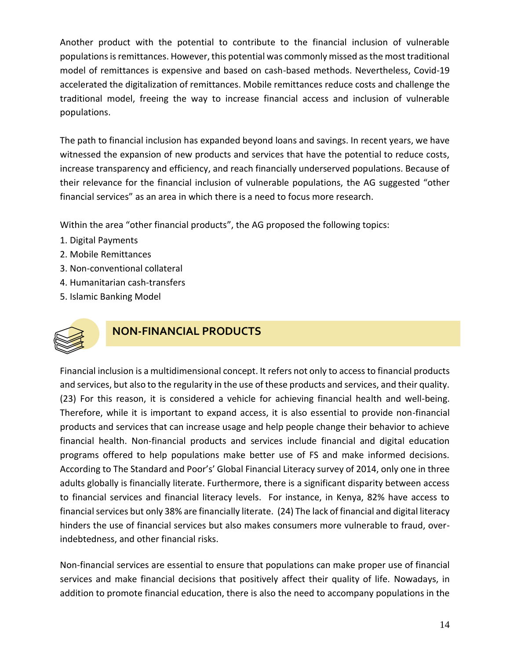Another product with the potential to contribute to the financial inclusion of vulnerable populations is remittances. However, this potential was commonly missed as the most traditional model of remittances is expensive and based on cash-based methods. Nevertheless, Covid-19 accelerated the digitalization of remittances. Mobile remittances reduce costs and challenge the traditional model, freeing the way to increase financial access and inclusion of vulnerable populations.

The path to financial inclusion has expanded beyond loans and savings. In recent years, we have witnessed the expansion of new products and services that have the potential to reduce costs, increase transparency and efficiency, and reach financially underserved populations. Because of their relevance for the financial inclusion of vulnerable populations, the AG suggested "other financial services" as an area in which there is a need to focus more research.

Within the area "other financial products", the AG proposed the following topics:

- 1. Digital Payments
- 2. Mobile Remittances
- 3. Non-conventional collateral
- 4. Humanitarian cash-transfers
- 5. Islamic Banking Model



### **NON-FINANCIAL PRODUCTS**

Financial inclusion is a multidimensional concept. It refers not only to access to financial products and services, but also to the regularity in the use of these products and services, and their quality. (23) For this reason, it is considered a vehicle for achieving financial health and well-being. Therefore, while it is important to expand access, it is also essential to provide non-financial products and services that can increase usage and help people change their behavior to achieve financial health. Non-financial products and services include financial and digital education programs offered to help populations make better use of FS and make informed decisions. According to The Standard and Poor's' Global Financial Literacy survey of 2014, only one in three adults globally is financially literate. Furthermore, there is a significant disparity between access to financial services and financial literacy levels. For instance, in Kenya, 82% have access to financial services but only 38% are financially literate. (24) The lack of financial and digital literacy hinders the use of financial services but also makes consumers more vulnerable to fraud, overindebtedness, and other financial risks.

Non-financial services are essential to ensure that populations can make proper use of financial services and make financial decisions that positively affect their quality of life. Nowadays, in addition to promote financial education, there is also the need to accompany populations in the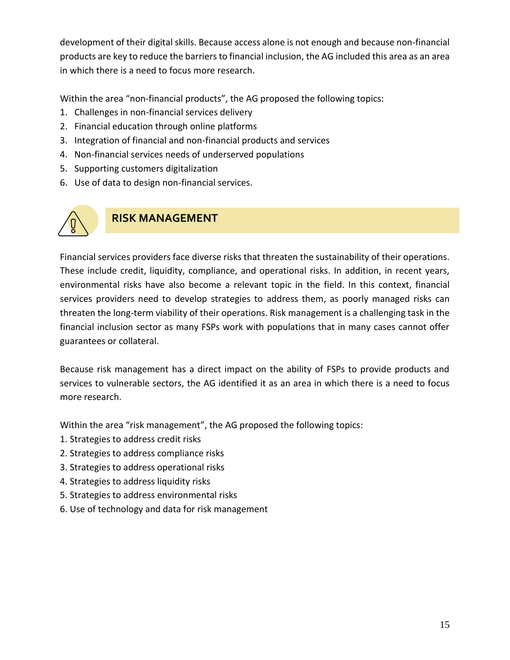development of their digital skills. Because access alone is not enough and because non-financial products are key to reduce the barriers to financial inclusion, the AG included this area as an area in which there is a need to focus more research.

Within the area "non-financial products", the AG proposed the following topics:

- 1. Challenges in non-financial services delivery
- 2. Financial education through online platforms
- 3. Integration of financial and non-financial products and services
- 4. Non-financial services needs of underserved populations
- 5. Supporting customers digitalization
- 6. Use of data to design non-financial services.



### **RISK MANAGEMENT**

Financial services providers face diverse risks that threaten the sustainability of their operations. These include credit, liquidity, compliance, and operational risks. In addition, in recent years, environmental risks have also become a relevant topic in the field. In this context, financial services providers need to develop strategies to address them, as poorly managed risks can threaten the long-term viability of their operations. Risk management is a challenging task in the financial inclusion sector as many FSPs work with populations that in many cases cannot offer guarantees or collateral.

Because risk management has a direct impact on the ability of FSPs to provide products and services to vulnerable sectors, the AG identified it as an area in which there is a need to focus more research.

Within the area "risk management", the AG proposed the following topics:

- 1. Strategies to address credit risks
- 2. Strategies to address compliance risks
- 3. Strategies to address operational risks
- 4. Strategies to address liquidity risks
- 5. Strategies to address environmental risks
- 6. Use of technology and data for risk management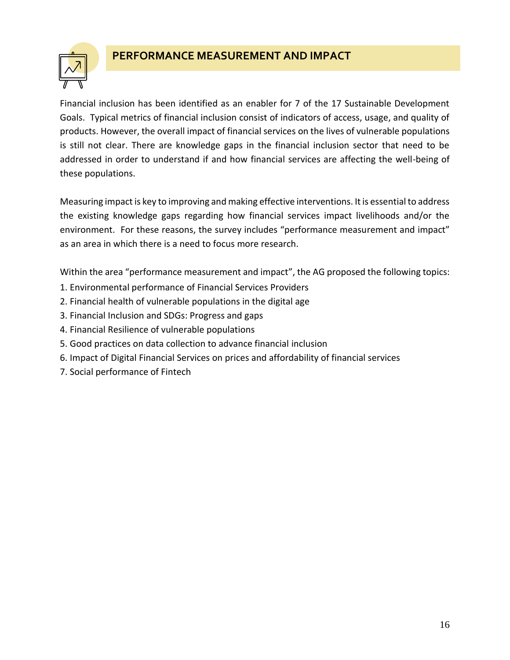

#### **PERFORMANCE MEASUREMENT AND IMPACT**

Financial inclusion has been identified as an enabler for 7 of the 17 Sustainable Development Goals. Typical metrics of financial inclusion consist of indicators of access, usage, and quality of products. However, the overall impact of financial services on the lives of vulnerable populations is still not clear. There are knowledge gaps in the financial inclusion sector that need to be addressed in order to understand if and how financial services are affecting the well-being of these populations.

Measuring impact is key to improving and making effective interventions. It is essential to address the existing knowledge gaps regarding how financial services impact livelihoods and/or the environment. For these reasons, the survey includes "performance measurement and impact" as an area in which there is a need to focus more research.

Within the area "performance measurement and impact", the AG proposed the following topics:

- 1. Environmental performance of Financial Services Providers
- 2. Financial health of vulnerable populations in the digital age
- 3. Financial Inclusion and SDGs: Progress and gaps
- 4. Financial Resilience of vulnerable populations
- 5. Good practices on data collection to advance financial inclusion
- 6. Impact of Digital Financial Services on prices and affordability of financial services
- 7. Social performance of Fintech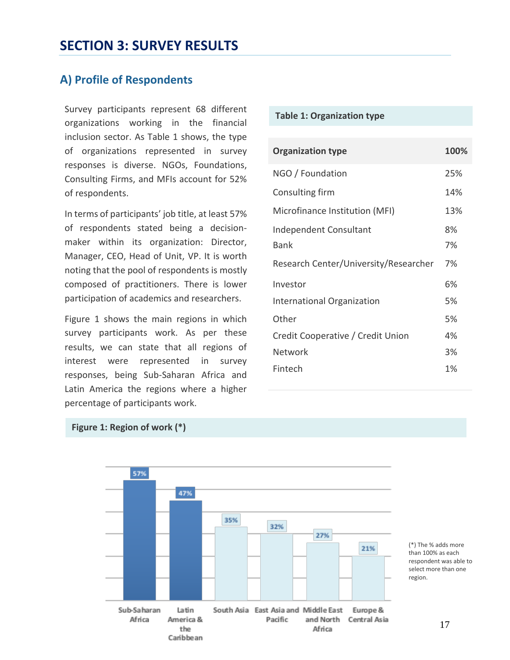### <span id="page-16-0"></span>**A) Profile of Respondents**

**Table 1: Organization type** Survey participants represent 68 different organizations working in the financial inclusion sector. As Table 1 shows, the type of organizations represented in survey responses is diverse. NGOs, Foundations, Consulting Firms, and MFIs account for 52% of respondents.

In terms of participants' job title, at least 57% of respondents stated being a decisionmaker within its organization: Director, Manager, CEO, Head of Unit, VP. It is worth noting that the pool of respondents is mostly composed of practitioners. There is lower participation of academics and researchers.

Figure 1 shows the main regions in which survey participants work. As per these results, we can state that all regions of interest were represented in survey responses, being Sub-Saharan Africa and Latin America the regions where a higher percentage of participants work.

| <b>Organization type</b>              | 100%     |
|---------------------------------------|----------|
| NGO / Foundation                      | 25%      |
| Consulting firm                       | 14%      |
| Microfinance Institution (MFI)        | 13%      |
| Independent Consultant<br>Bank        | 8%<br>7% |
| Research Center/University/Researcher | 7%       |
| Investor                              | 6%       |
| International Organization            | 5%       |
| Other                                 | 5%       |
| Credit Cooperative / Credit Union     | 4%       |
| Network                               | 3%       |
| Fintech                               | 1%       |





(\*) The % adds more than 100% as each respondent was able to select more than one region.

17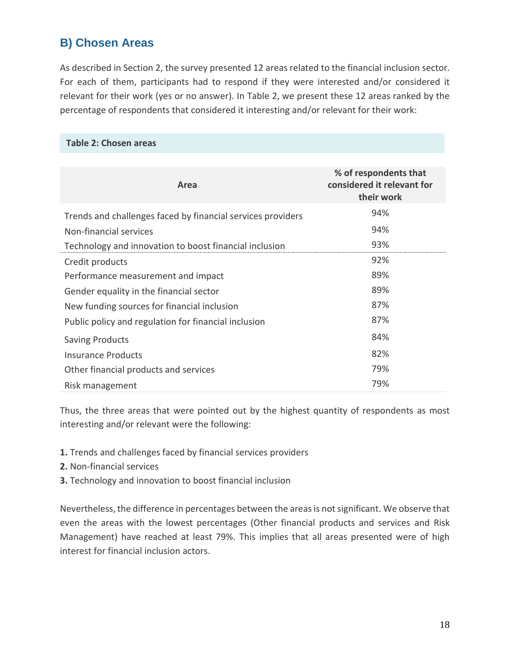### **B) Chosen Areas**

As described in Section 2, the survey presented 12 areas related to the financial inclusion sector. For each of them, participants had to respond if they were interested and/or considered it relevant for their work (yes or no answer). In Table 2, we present these 12 areas ranked by the percentage of respondents that considered it interesting and/or relevant for their work:

#### **Table 2: Chosen areas**

| Area                                                        | % of respondents that<br>considered it relevant for<br>their work |
|-------------------------------------------------------------|-------------------------------------------------------------------|
| Trends and challenges faced by financial services providers | 94%                                                               |
| Non-financial services                                      | 94%                                                               |
| Technology and innovation to boost financial inclusion      | 93%                                                               |
| Credit products                                             | 92%                                                               |
| Performance measurement and impact                          | 89%                                                               |
| Gender equality in the financial sector                     | 89%                                                               |
| New funding sources for financial inclusion                 | 87%                                                               |
| Public policy and regulation for financial inclusion        | 87%                                                               |
| <b>Saving Products</b>                                      | 84%                                                               |
| Insurance Products                                          | 82%                                                               |
| Other financial products and services                       | 79%                                                               |
| Risk management                                             | 79%                                                               |

Thus, the three areas that were pointed out by the highest quantity of respondents as most interesting and/or relevant were the following:

- **1.** Trends and challenges faced by financial services providers
- **2.** Non-financial services
- **3.** Technology and innovation to boost financial inclusion

Nevertheless, the difference in percentages between the areas is not significant. We observe that even the areas with the lowest percentages (Other financial products and services and Risk Management) have reached at least 79%. This implies that all areas presented were of high interest for financial inclusion actors.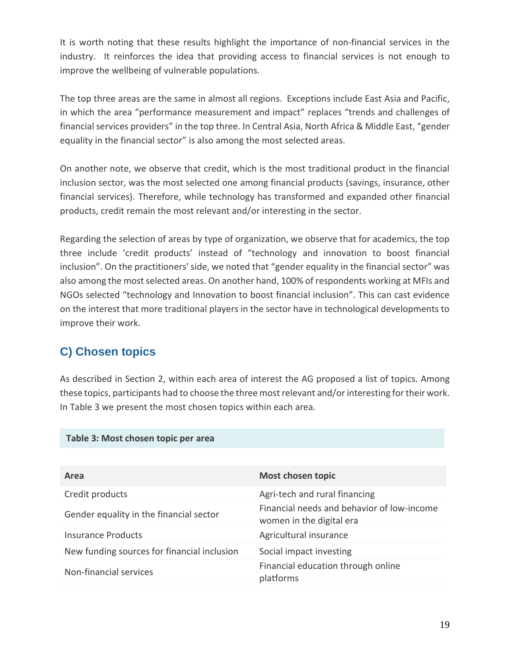It is worth noting that these results highlight the importance of non-financial services in the industry. It reinforces the idea that providing access to financial services is not enough to improve the wellbeing of vulnerable populations.

The top three areas are the same in almost all regions. Exceptions include East Asia and Pacific, in which the area "performance measurement and impact" replaces "trends and challenges of financial services providers" in the top three. In Central Asia, North Africa & Middle East, "gender equality in the financial sector" is also among the most selected areas.

On another note, we observe that credit, which is the most traditional product in the financial inclusion sector, was the most selected one among financial products (savings, insurance, other financial services). Therefore, while technology has transformed and expanded other financial products, credit remain the most relevant and/or interesting in the sector.

Regarding the selection of areas by type of organization, we observe that for academics, the top three include 'credit products' instead of "technology and innovation to boost financial inclusion". On the practitioners' side, we noted that "gender equality in the financial sector" was also among the most selected areas. On another hand, 100% of respondents working at MFIs and NGOs selected "technology and Innovation to boost financial inclusion". This can cast evidence on the interest that more traditional players in the sector have in technological developments to improve their work.

### **C) Chosen topics**

As described in Section 2, within each area of interest the AG proposed a list of topics. Among these topics, participants had to choose the three most relevant and/or interesting for their work. In Table 3 we present the most chosen topics within each area.

| Area                                        | <b>Most chosen topic</b>                                               |
|---------------------------------------------|------------------------------------------------------------------------|
| Credit products                             | Agri-tech and rural financing                                          |
| Gender equality in the financial sector     | Financial needs and behavior of low-income<br>women in the digital era |
| <b>Insurance Products</b>                   | Agricultural insurance                                                 |
| New funding sources for financial inclusion | Social impact investing                                                |
| Non-financial services                      | Financial education through online<br>platforms                        |

#### **Table 3: Most chosen topic per area**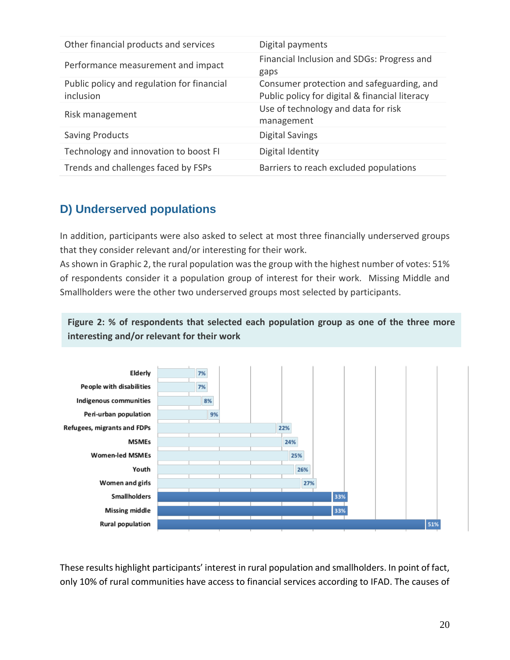| Other financial products and services                   | Digital payments                                                                            |
|---------------------------------------------------------|---------------------------------------------------------------------------------------------|
| Performance measurement and impact                      | Financial Inclusion and SDGs: Progress and<br>gaps                                          |
| Public policy and regulation for financial<br>inclusion | Consumer protection and safeguarding, and<br>Public policy for digital & financial literacy |
| Risk management                                         | Use of technology and data for risk<br>management                                           |
| <b>Saving Products</b>                                  | <b>Digital Savings</b>                                                                      |
| Technology and innovation to boost FI                   | Digital Identity                                                                            |
| Trends and challenges faced by FSPs                     | Barriers to reach excluded populations                                                      |

### **D) Underserved populations**

In addition, participants were also asked to select at most three financially underserved groups that they consider relevant and/or interesting for their work.

As shown in Graphic 2, the rural population was the group with the highest number of votes: 51% of respondents consider it a population group of interest for their work. Missing Middle and Smallholders were the other two underserved groups most selected by participants.

**Figure 2: % of respondents that selected each population group as one of the three more interesting and/or relevant for their work**



These results highlight participants' interest in rural population and smallholders. In point of fact, only 10% of rural communities have access to financial services according to IFAD. The causes of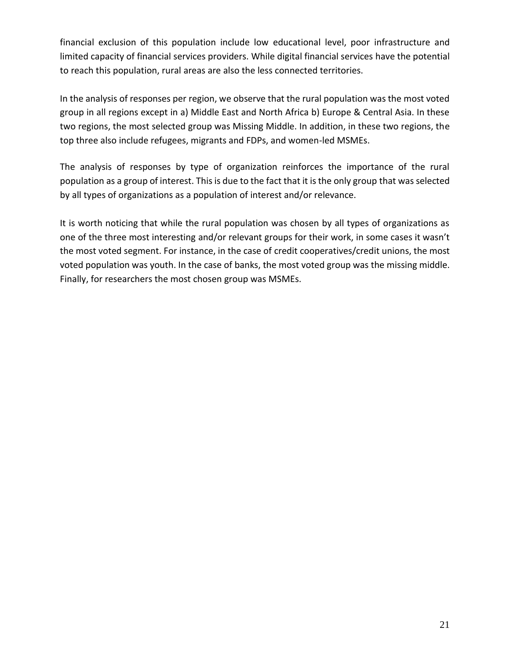financial exclusion of this population include low educational level, poor infrastructure and limited capacity of financial services providers. While digital financial services have the potential to reach this population, rural areas are also the less connected territories.

In the analysis of responses per region, we observe that the rural population was the most voted group in all regions except in a) Middle East and North Africa b) Europe & Central Asia. In these two regions, the most selected group was Missing Middle. In addition, in these two regions, the top three also include refugees, migrants and FDPs, and women-led MSMEs.

The analysis of responses by type of organization reinforces the importance of the rural population as a group of interest. This is due to the fact that it is the only group that was selected by all types of organizations as a population of interest and/or relevance.

It is worth noticing that while the rural population was chosen by all types of organizations as one of the three most interesting and/or relevant groups for their work, in some cases it wasn't the most voted segment. For instance, in the case of credit cooperatives/credit unions, the most voted population was youth. In the case of banks, the most voted group was the missing middle. Finally, for researchers the most chosen group was MSMEs.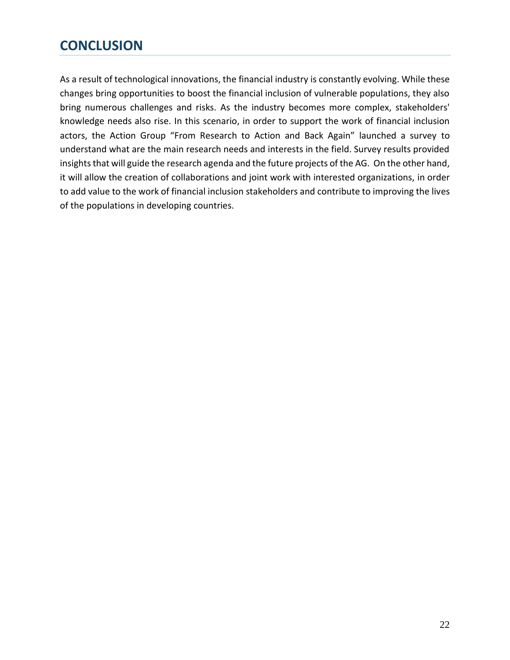# <span id="page-21-0"></span>**CONCLUSION**

As a result of technological innovations, the financial industry is constantly evolving. While these changes bring opportunities to boost the financial inclusion of vulnerable populations, they also bring numerous challenges and risks. As the industry becomes more complex, stakeholders' knowledge needs also rise. In this scenario, in order to support the work of financial inclusion actors, the Action Group "From Research to Action and Back Again" launched a survey to understand what are the main research needs and interests in the field. Survey results provided insights that will guide the research agenda and the future projects of the AG. On the other hand, it will allow the creation of collaborations and joint work with interested organizations, in order to add value to the work of financial inclusion stakeholders and contribute to improving the lives of the populations in developing countries.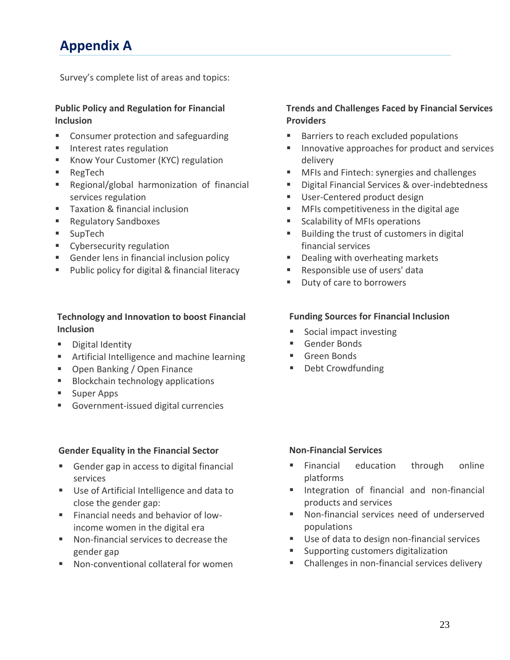# <span id="page-22-0"></span>**Appendix A**

Survey's complete list of areas and topics:

#### **Public Policy and Regulation for Financial Inclusion**

- Consumer protection and safeguarding
- Interest rates regulation
- Know Your Customer (KYC) regulation
- RegTech
- Regional/global harmonization of financial services regulation
- Taxation & financial inclusion
- Regulatory Sandboxes
- SupTech
- Cybersecurity regulation
- Gender lens in financial inclusion policy
- Public policy for digital & financial literacy

#### **Technology and Innovation to boost Financial Inclusion**

- Digital Identity
- Artificial Intelligence and machine learning
- Open Banking / Open Finance
- Blockchain technology applications
- Super Apps
- Government-issued digital currencies

#### **Gender Equality in the Financial Sector**

- Gender gap in access to digital financial services
- Use of Artificial Intelligence and data to close the gender gap:
- Financial needs and behavior of lowincome women in the digital era
- Non-financial services to decrease the gender gap
- Non-conventional collateral for women

#### **Trends and Challenges Faced by Financial Services Providers**

- Barriers to reach excluded populations
- Innovative approaches for product and services delivery
- MFIs and Fintech: synergies and challenges
- Digital Financial Services & over-indebtedness
- User-Centered product design
- MFIs competitiveness in the digital age
- Scalability of MFIs operations
- Building the trust of customers in digital financial services
- Dealing with overheating markets
- Responsible use of users' data
- Duty of care to borrowers

#### **Funding Sources for Financial Inclusion**

- Social impact investing
- Gender Bonds
- Green Bonds
- Debt Crowdfunding

#### **Non-Financial Services**

- **Example 1** Financial education through online platforms
- **■** Integration of financial and non-financial products and services
- Non-financial services need of underserved populations
- Use of data to design non-financial services
- Supporting customers digitalization
- Challenges in non-financial services delivery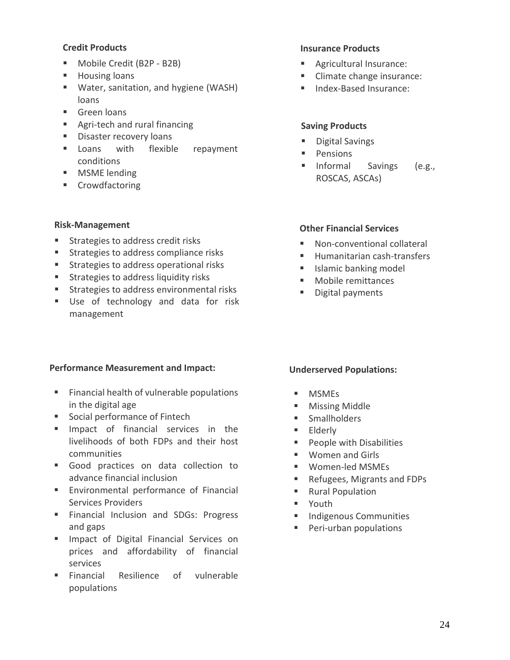#### **Credit Products**

- Mobile Credit (B2P B2B)
- Housing loans
- Water, sanitation, and hygiene (WASH) loans
- Green loans
- Agri-tech and rural financing
- Disaster recovery loans
- **E** Loans with flexible repayment conditions
- MSME lending
- Crowdfactoring

#### **Risk-Management**

- Strategies to address credit risks
- Strategies to address compliance risks
- Strategies to address operational risks
- Strategies to address liquidity risks
- Strategies to address environmental risks
- Use of technology and data for risk management

#### **Performance Measurement and Impact:**

- Financial health of vulnerable populations in the digital age
- Social performance of Fintech
- **E** Impact of financial services in the livelihoods of both FDPs and their host communities
- Good practices on data collection to advance financial inclusion
- **Environmental performance of Financial** Services Providers
- **EXTERG** Financial Inclusion and SDGs: Progress and gaps
- **E** Impact of Digital Financial Services on prices and affordability of financial services
- **Exercial** Resilience of vulnerable populations

#### **Insurance Products**

- Agricultural Insurance:
- Climate change insurance:
- Index-Based Insurance:

#### **Saving Products**

- Digital Savings
- Pensions
- Informal Savings (e.g., ROSCAS, ASCAs)

#### **Other Financial Services**

- Non-conventional collateral
- Humanitarian cash-transfers
- Islamic banking model
- Mobile remittances
- Digital payments

#### **Underserved Populations:**

- MSMFs
- Missing Middle
- Smallholders
- Elderly
- People with Disabilities
- Women and Girls
- Women-led MSMEs
- Refugees, Migrants and FDPs
- Rural Population
- Youth
- Indigenous Communities
- Peri-urban populations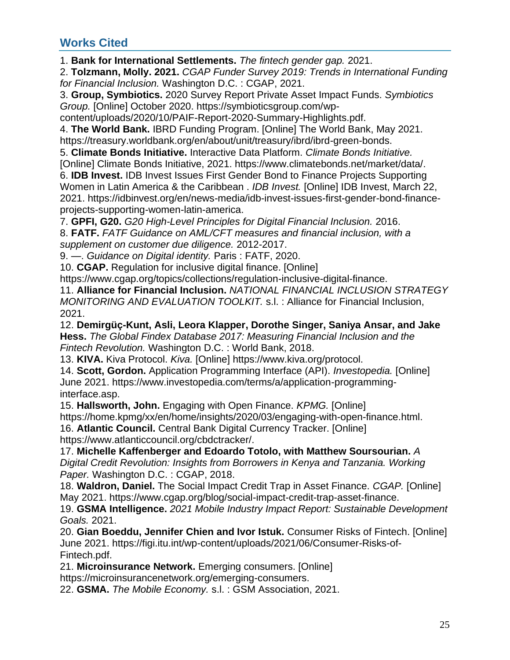### <span id="page-24-0"></span>**Works Cited**

1. **Bank for International Settlements.** *The fintech gender gap.* 2021.

2. **Tolzmann, Molly. 2021.** *CGAP Funder Survey 2019: Trends in International Funding for Financial Inclusion.* Washington D.C. : CGAP, 2021.

3. **Group, Symbiotics.** 2020 Survey Report Private Asset Impact Funds. *Symbiotics Group.* [Online] October 2020. https://symbioticsgroup.com/wp-

content/uploads/2020/10/PAIF-Report-2020-Summary-Highlights.pdf.

4. **The World Bank.** IBRD Funding Program. [Online] The World Bank, May 2021. https://treasury.worldbank.org/en/about/unit/treasury/ibrd/ibrd-green-bonds.

5. **Climate Bonds Initiative.** Interactive Data Platform. *Climate Bonds Initiative.* 

[Online] Climate Bonds Initiative, 2021. https://www.climatebonds.net/market/data/.

6. **IDB Invest.** IDB Invest Issues First Gender Bond to Finance Projects Supporting Women in Latin America & the Caribbean . *IDB Invest.* [Online] IDB Invest, March 22, 2021. https://idbinvest.org/en/news-media/idb-invest-issues-first-gender-bond-financeprojects-supporting-women-latin-america.

7. **GPFI, G20.** *G20 High-Level Principles for Digital Financial Inclusion.* 2016. 8. **FATF.** *FATF Guidance on AML/CFT measures and financial inclusion, with a supplement on customer due diligence.* 2012-2017.

9. —. *Guidance on Digital identity.* Paris : FATF, 2020.

10. **CGAP.** Regulation for inclusive digital finance. [Online]

https://www.cgap.org/topics/collections/regulation-inclusive-digital-finance.

11. **Alliance for Financial Inclusion.** *NATIONAL FINANCIAL INCLUSION STRATEGY MONITORING AND EVALUATION TOOLKIT.* s.l. : Alliance for Financial Inclusion, 2021.

12. **Demirgüç-Kunt, Asli, Leora Klapper, Dorothe Singer, Saniya Ansar, and Jake Hess.** *The Global Findex Database 2017: Measuring Financial Inclusion and the Fintech Revolution.* Washington D.C. : World Bank, 2018.

13. **KIVA.** Kiva Protocol. *Kiva.* [Online] https://www.kiva.org/protocol.

14. **Scott, Gordon.** Application Programming Interface (API). *Investopedia.* [Online] June 2021. https://www.investopedia.com/terms/a/application-programminginterface.asp.

15. **Hallsworth, John.** Engaging with Open Finance. *KPMG.* [Online] https://home.kpmg/xx/en/home/insights/2020/03/engaging-with-open-finance.html.

16. **Atlantic Council.** Central Bank Digital Currency Tracker. [Online] https://www.atlanticcouncil.org/cbdctracker/.

17. **Michelle Kaffenberger and Edoardo Totolo, with Matthew Soursourian.** *A Digital Credit Revolution: Insights from Borrowers in Kenya and Tanzania. Working Paper.* Washington D.C. : CGAP, 2018.

18. **Waldron, Daniel.** The Social Impact Credit Trap in Asset Finance. *CGAP.* [Online] May 2021. https://www.cgap.org/blog/social-impact-credit-trap-asset-finance.

19. **GSMA Intelligence.** *2021 Mobile Industry Impact Report: Sustainable Development Goals.* 2021.

20. **Gian Boeddu, Jennifer Chien and Ivor Istuk.** Consumer Risks of Fintech. [Online] June 2021. https://figi.itu.int/wp-content/uploads/2021/06/Consumer-Risks-of-Fintech.pdf.

21. **Microinsurance Network.** Emerging consumers. [Online] https://microinsurancenetwork.org/emerging-consumers.

22. **GSMA.** *The Mobile Economy.* s.l. : GSM Association, 2021.